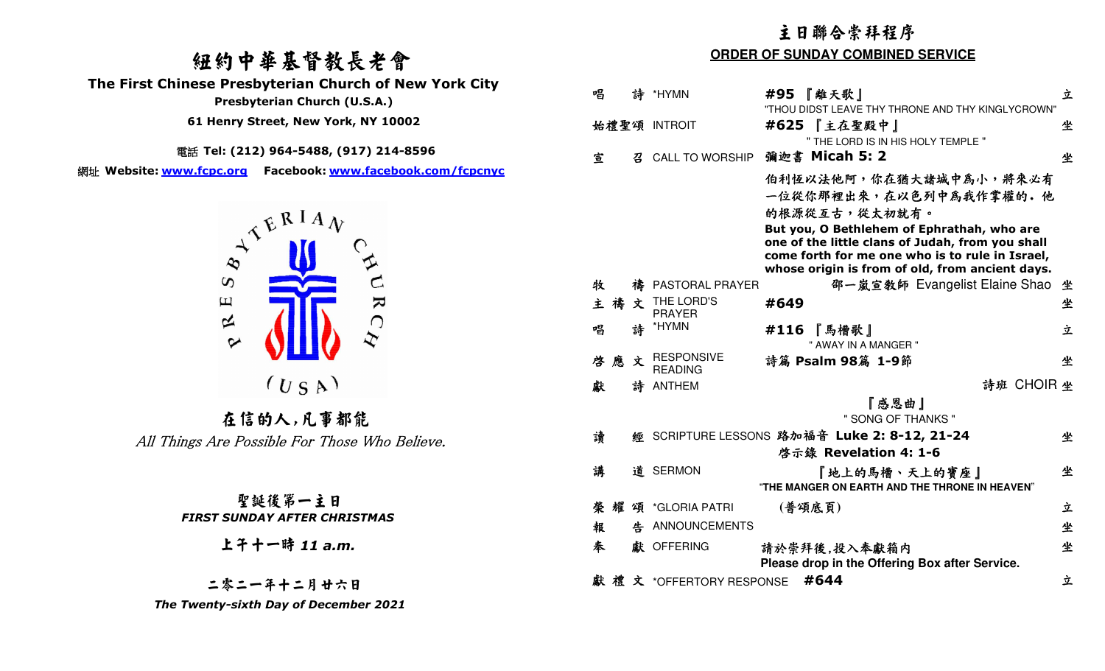# 紐約中華基督教長老會

 **The First Chinese Presbyterian Church of New York City** 

 **Presbyterian Church (U.S.A.)** 

 **61 Henry Street, New York, NY 10002**

電話 **Tel: (212) 964-5488, (917) 214-8596** 

網址 **Website: www.fcpc.org Facebook: www.facebook.com/fcpcnyc**



在信的人,凡事都能<br>All Things Are Possible For Those Who Believe.

### 聖誕後第一主日 *FIRST SUNDAY AFTER CHRISTMAS*

上午十一時 *11 a.m.* 

二零二一年十二月廿六日 *The Twenty-sixth Day of December 2021* 

# 主日聯合崇拜程序

#### **ORDER OF SUNDAY COMBINED SERVICE**

| 唱 |   |   | 詩 *HYMN                             | #95 『離天歌』                                                                                                                                                                                                                                                                 | 立 |
|---|---|---|-------------------------------------|---------------------------------------------------------------------------------------------------------------------------------------------------------------------------------------------------------------------------------------------------------------------------|---|
|   |   |   | 始禮聖頌 INTROIT                        | "THOU DIDST LEAVE THY THRONE AND THY KINGLYCROWN"<br>『主在聖殿中』<br>#625                                                                                                                                                                                                      | 坐 |
| 宣 |   | 召 | <b>CALL TO WORSHIP</b>              | " THE LORD IS IN HIS HOLY TEMPLE "<br>彌迦書 Micah 5: 2                                                                                                                                                                                                                      | 坐 |
|   |   |   |                                     | 伯利恆以法他阿,你在猶大諸城中為小,將來必有<br>一位從你那裡出來,在以色列中為我作掌權的。他<br>的根源從互古,從太初就有。<br>But you, O Bethlehem of Ephrathah, who are<br>one of the little clans of Judah, from you shall<br>come forth for me one who is to rule in Israel,<br>whose origin is from of old, from ancient days. |   |
| 牧 |   |   | 禱 PASTORAL PRAYER                   | 邵一嵐宣教師 Evangelist Elaine Shao                                                                                                                                                                                                                                             | 坐 |
| 主 | 禱 | 文 | THE LORD'S<br><b>PRAYER</b>         | #649                                                                                                                                                                                                                                                                      | 坐 |
| 唱 |   | 詩 | *HYMN                               | 『馬槽歌』<br>#116<br>" AWAY IN A MANGER "                                                                                                                                                                                                                                     | 立 |
| 啓 | 應 | 文 | <b>RESPONSIVE</b><br><b>READING</b> | 詩篇 Psalm 98篇 1-9節                                                                                                                                                                                                                                                         | 坐 |
| 獻 |   |   | 詩 ANTHEM                            | 詩班 CHOIR 坐                                                                                                                                                                                                                                                                |   |
|   |   |   |                                     | 『感恩曲』<br>" SONG OF THANKS "                                                                                                                                                                                                                                               |   |
| 讀 |   |   |                                     | 經 SCRIPTURE LESSONS 路加福音 Luke 2: 8-12, 21-24                                                                                                                                                                                                                              | 坐 |
|   |   |   |                                     | 啓示錄 Revelation 4: 1-6                                                                                                                                                                                                                                                     |   |
| 講 |   |   | 道 SERMON                            | 『地上的馬槽、天上的寶座』<br>"THE MANGER ON EARTH AND THE THRONE IN HEAVEN"                                                                                                                                                                                                           | 坐 |
| 榮 |   |   | 耀 頌 *GLORIA PATRI                   | (普頌底頁)                                                                                                                                                                                                                                                                    | 立 |
| 報 |   |   | 告 ANNOUNCEMENTS                     |                                                                                                                                                                                                                                                                           | 坐 |
| 奉 |   |   | 獻 OFFERING                          | 請於崇拜後,投入奉獻箱内<br>Please drop in the Offering Box after Service.                                                                                                                                                                                                            | 坐 |
|   |   |   | 獻禮文 *OFFERTORY RESPONSE             | #644                                                                                                                                                                                                                                                                      | 立 |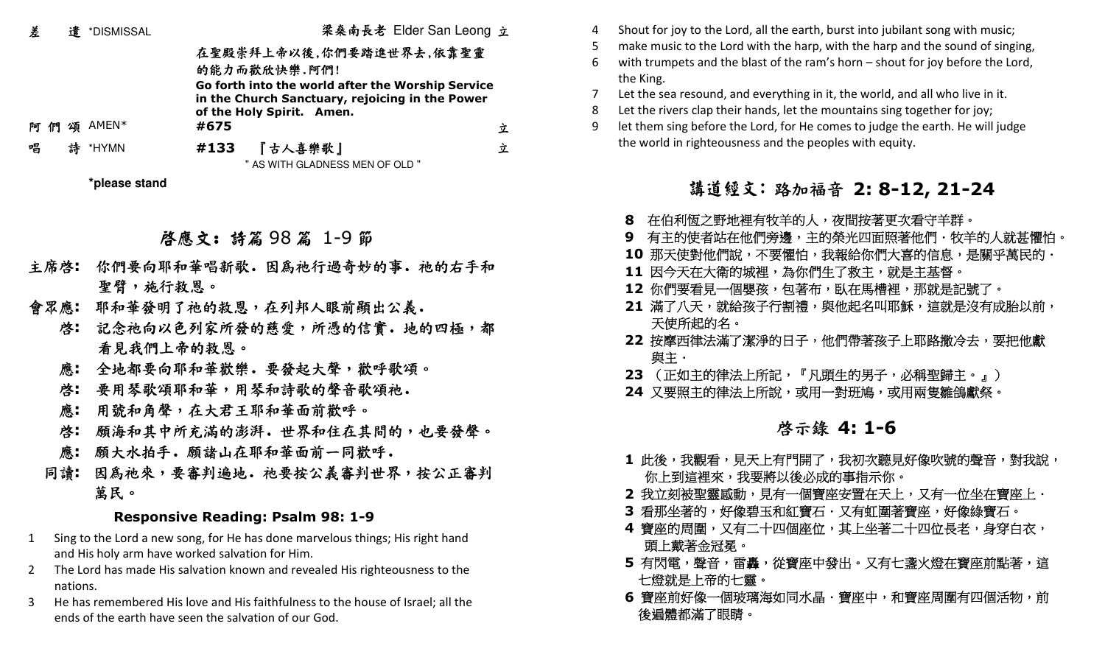| 差         | 遣 *DISMISSAL  | 梁桑南長老 Elder San Leong 立                                                                                                                         |   |
|-----------|---------------|-------------------------------------------------------------------------------------------------------------------------------------------------|---|
|           |               | 在聖殿崇拜上帝以後,你們要踏進世界去,依靠聖靈<br>的能力而歡欣快樂.阿們!<br>Go forth into the world after the Worship Service<br>in the Church Sanctuary, rejoicing in the Power |   |
| - ብግ<br>阿 | 頌 AMEN*       | of the Holy Spirit. Amen.<br>#675                                                                                                               | 立 |
| 唱         | 詩 *HYMN       | 『古人喜樂歌』<br>#133                                                                                                                                 | 立 |
|           |               | " AS WITH GLADNESS MEN OF OLD "                                                                                                                 |   |
|           | *please stand |                                                                                                                                                 |   |

啟應文: 詩篇 <sup>98</sup> 篇 1-9節

- 主席啓: 你們要向耶和華唱新歌. 因為祂行過奇妙的事. 祂的右手和 聖臂,施行救恩。
- 會眾應**:** 耶和華發明了祂的救恩,在列邦人眼前顯出公義.
- 啟**:** 記念祂向以色列家所發的慈愛,所憑的信實.地的四極,都 看見我們上帝的救恩。
	- 應**:** 全地都要向耶和華歡樂.要發起大聲,歡呼歌頌。
	- 啟**:** 要用琴歌頌耶和華,用琴和詩歌的聲音歌頌祂.
	- 應**:** 用號和角聲,在大君王耶和華面前歡呼。
- 啟**:** 願海和其中所充滿的澎湃.世界和住在其間的,也要發聲。
- 應: 願大水拍手. 願諸山在耶和華面前一同歡呼.
- 同讀: 因為祂來,要審判遍地. 祂要按公義審判世界,按公正審判 萬民。

### **Responsive Reading: Psalm 98: 1-9**

- 1 Sing to the Lord a new song, for He has done marvelous things; His right hand and His holy arm have worked salvation for Him.
- 2 The Lord has made His salvation known and revealed His righteousness to the nations.
- 3 He has remembered His love and His faithfulness to the house of Israel; all the ends of the earth have seen the salvation of our God.
- 4 Shout for joy to the Lord, all the earth, burst into jubilant song with music;
- 5 make music to the Lord with the harp, with the harp and the sound of singing,
- with trumpets and the blast of the ram's horn  $-$  shout for joy before the Lord, the King.

Let the sea resound, and everything in it, the world, and all who live in it.

- Let the rivers clap their hands, let the mountains sing together for joy;
- 9 let them sing before the Lord, for He comes to judge the earth. He will judge the world in righteousness and the peoples with equity.

# 講道經文:路加福音 **2: 8-12, 21-24**

- **8** 在伯利恆之野地裡有牧羊的人,夜間按著更次看守羊群。
- **9** 有主的使者站在他們旁邊,主的榮光四面照著他們.牧羊的人就甚懼怕。
- **-10** 那天使對他們說,不要懼怕,我報給你們大喜的信息,是關乎萬民的.
- 11 因今天在大衛的城裡,為你們生了救主,就是主基督。
- **12** 你們要看見一個嬰孩,包著布,臥在馬槽裡,那就是記號了。
- **21** 滿了八天,就給孩子行割禮,與他起名叫耶穌,這就是沒有成胎以前, 天使所起的名。
- **22** 按摩西律法滿了潔淨的日子,他們帶著孩子上耶路撒冷去,要把他獻 與主.
- **23** (正如主的律法上所記,『凡頭生的男子,必稱聖歸主。』)
- **24** 又要照主的律法上所說,或用一對班鳩,或用兩隻雛鴿獻祭。

# **2.2.2.2.2.3.3.4 喜示錄 4: 1-6**

- **-1** 此後,我觀看,見天上有門開了,我初次聽見好像吹號的聲音,對我說, 你上到這裡來,我要將以後必成的事指示你。
- **2** 我立刻被聖靈感動,見有一個寶座安置在天上,又有一位坐在寶座上.
- 3 看那坐著的,好像碧玉和紅寶石·又有虹圍著寶座,好像綠寶石。
- 4 寶座的周圍,又有二十四個座位,其上坐著二十四位長老,身穿白衣, 頭上戴著金冠冕。
- **5** 有閃電,聲音,雷轟,從寶座中發出。又有七盞火燈在寶座前點著,這 七燈就是上帝的七靈。
- **6** 寶座前好像一個玻璃海如同水晶‧寶座中,和寶座周圍有四個活物,前 後遍體都滿了眼睛。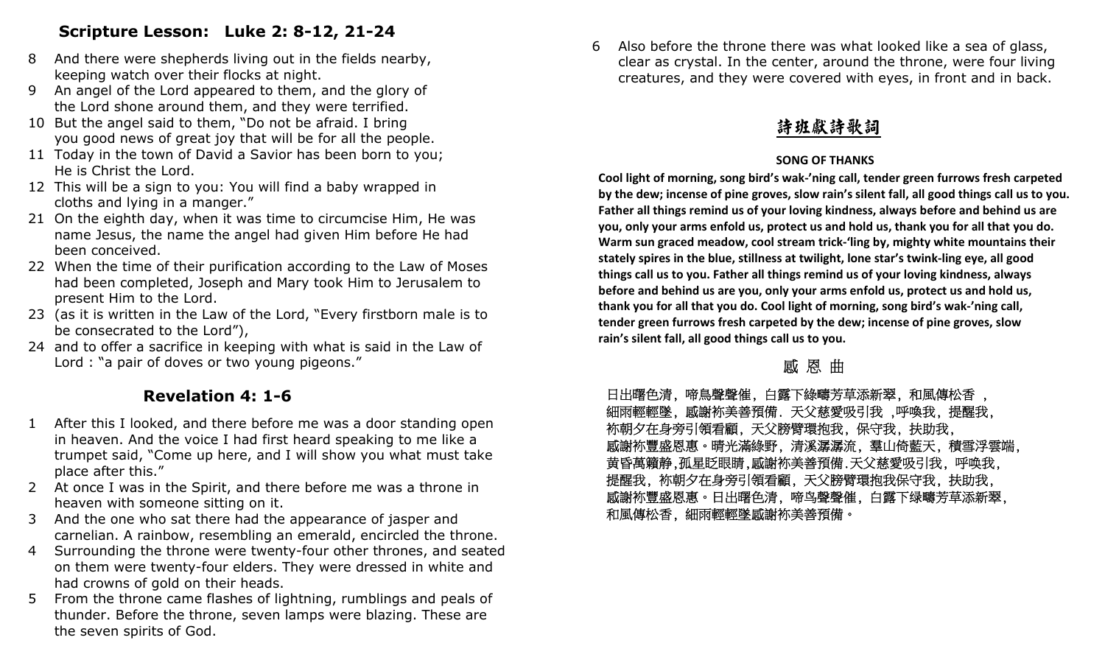# **Scripture Lesson: Luke 2: 8-12, 21-24**

- 8 And there were shepherds living out in the fields nearby, keeping watch over their flocks at night.
- 9 An angel of the Lord appeared to them, and the glory of the Lord shone around them, and they were terrified.
- 10 But the angel said to them, "Do not be afraid. I bring you good news of great joy that will be for all the people.
- 11 Today in the town of David a Savior has been born to you; He is Christ the Lord.
- 12 This will be a sign to you: You will find a baby wrapped in cloths and lying in a manger."
- 21 On the eighth day, when it was time to circumcise Him, He was name Jesus, the name the angel had given Him before He had been conceived.
- 22 When the time of their purification according to the Law of Moses had been completed, Joseph and Mary took Him to Jerusalem to present Him to the Lord.
- 23 (as it is written in the Law of the Lord, "Every firstborn male is to be consecrated to the Lord"),
- 24 and to offer a sacrifice in keeping with what is said in the Law of Lord : "a pair of doves or two young pigeons."

# **Revelation 4: 1-6**

- 1 After this I looked, and there before me was a door standing open in heaven. And the voice I had first heard speaking to me like a trumpet said, "Come up here, and I will show you what must take place after this."
- 2 At once I was in the Spirit, and there before me was a throne in heaven with someone sitting on it.
- 3 And the one who sat there had the appearance of jasper and carnelian. A rainbow, resembling an emerald, encircled the throne.
- 4 Surrounding the throne were twenty-four other thrones, and seated on them were twenty-four elders. They were dressed in white and had crowns of gold on their heads.
- 5 From the throne came flashes of lightning, rumblings and peals of thunder. Before the throne, seven lamps were blazing. These are the seven spirits of God.

6 Also before the throne there was what looked like a sea of glass, clear as crystal. In the center, around the throne, were four living creatures, and they were covered with eyes, in front and in back.

# 詩班獻詩歌詞

### **SONG OF THANKS**

 **Cool light of morning, song bird's wak-'ning call, tender green furrows fresh carpeted by the dew; incense of pine groves, slow rain's silent fall, all good things call us to you. Father all things remind us of your loving kindness, always before and behind us are you, only your arms enfold us, protect us and hold us, thank you for all that you do. Warm sun graced meadow, cool stream trick-'ling by, mighty white mountains their stately spires in the blue, stillness at twilight, lone star's twink-ling eye, all good things call us to you. Father all things remind us of your loving kindness, always before and behind us are you, only your arms enfold us, protect us and hold us, thank you for all that you do. Cool light of morning, song bird's wak-'ning call, tender green furrows fresh carpeted by the dew; incense of pine groves, slow rain's silent fall, all good things call us to you.** 

# 感 恩 曲

日出曙色清, 啼鳥聲聲催, 白露下綠疇芳草添新翠, 和風傳松香 , 細雨輕輕墜, 感謝袮美善預備. 天父慈愛吸引我 ,呼喚我, 提醒我, 袮朝夕在身旁引領看顧, 天父膀臂環抱我, 保守我, 扶助我, 感謝袮豐盛恩惠。晴光滿綠野, 清溪潺潺流, 羣山倚藍天, 積雪浮雲端, 黄昏萬籟静,孤星眨眼睛,感謝袮美善預備.天父慈愛吸引我, 呼唤我, 提醒我, 袮朝夕在身旁引領看顧, 天父膀臂環抱我保守我, 扶助我, 感謝袮豐盛恩惠。日出曙色清, 啼鸟聲聲催, 白露下绿疇芳草添新翠, 和風傳松香, 細雨輕輕墜感謝袮美善預備。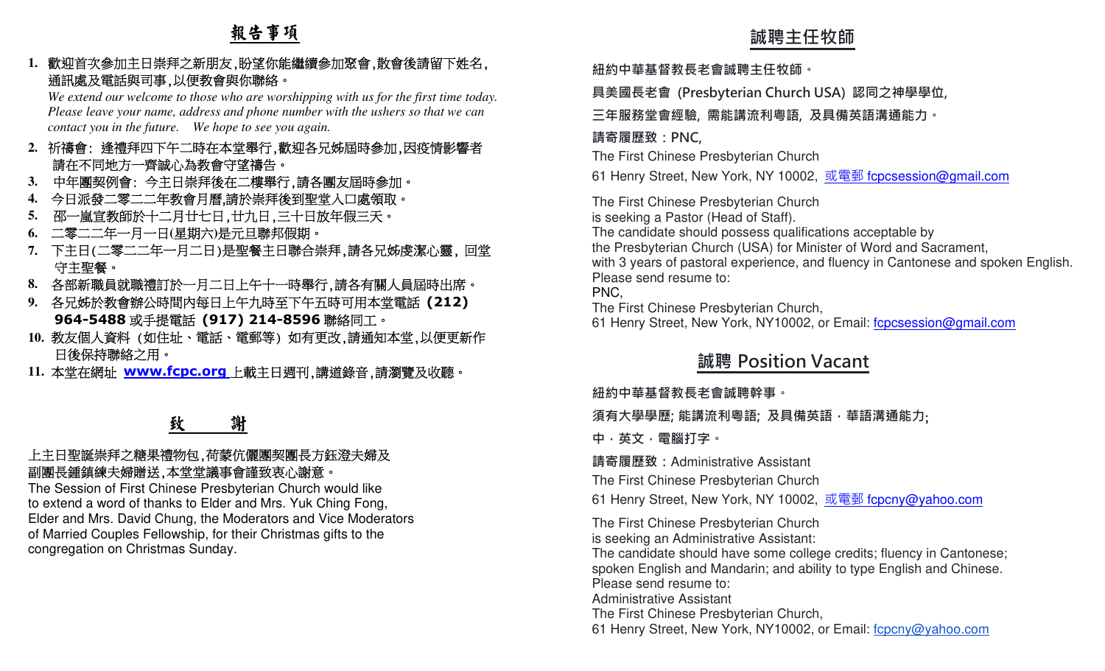# 報告事項

**1.**歡迎首次參加主日崇拜之新朋友,盼望你能繼續參加聚會,散會後請留下姓名, 通訊處及電話與司事,以便教會與你聯絡。

 *We extend our welcome to those who are worshipping with us for the first time today. Please leave your name, address and phone number with the ushers so that we can contact you in the future. We hope to see you again.* 

- **2.**祈禱會: 逢禮拜四下午二時在本堂舉行,歡迎各兄姊屆時參加,因疫情影響者請在不同地方一齊誠心為教會守望禱告。
- **3.** 中年團契例會: 今主日崇拜後在二樓舉行,請各團友屆時參加。
- 今日派發二零二二年教會月曆,請於崇拜後到聖堂入口處領取。**4.**
- 邵一嵐宣教師於十二月廿七日,廿九日,三十日放年假三天。 **5.**
- **6.** 二零二二年一月一日**(**星期六**)**是元旦聯邦假期。
- **7.** 下主日(二零二二年一月二日)是聖餐主日聯合崇拜,請各兄姊虔潔心靈, 回堂 守主聖餐。
- **8.** 各部新職員就職禮訂於一月二日上午十一時舉行,請各有關人員屆時出席。
- **9.** 各兄姊於教會辦公時間內每日上午九時至下午五時可用本堂電話 **(212) 964-5488**或手提電話 **(917) 214-8596**聯絡同工。
- **10.** 教友個人資料 (如住址、電話、電郵等) 如有更改,請通知本堂,以便更新作 日後保持聯絡之用。
- **11.** 本堂在網址 **www.fcpc.org** 上載主日週刊,講道錄音,請瀏覽及收聽。

# 致 謝

### 上主日聖誕崇拜之糖果禮物包,荷蒙伉儷團契團長方鈺澄夫婦及 副團長鍾鎮練夫婦贈送,本堂堂議事會謹致衷心謝意。

 The Session of First Chinese Presbyterian Church would like to extend a word of thanks to Elder and Mrs. Yuk Ching Fong, Elder and Mrs. David Chung, the Moderators and Vice Moderators of Married Couples Fellowship, for their Christmas gifts to the congregation on Christmas Sunday.

**紐約中華基督教⻑老會誠聘主任牧師。** 

**具美國⻑老會 (Presbyterian Church USA) 認同之神學學位,** 

**三年服務堂會經驗, 需能講流利粵語, 及具備英語溝通能力。** 

### **請寄履歷致:PNC,**

The First Chinese Presbyterian Church

61 Henry Street, New York, NY 10002, <u>或電郵 f<mark>cpcsession@gmail.com</mark></u>

- 教*1.*<br>
家知音犬参加上<del>日常院之事院(厳量子科、機管体会対策者、数者検査管理を定。 顔的単単音管視を管理には2018年の<br>
Went Round not window a stationary and the prior of the first case of the first case of the cound not window with the stationary with the stationary</del> The First Chinese Presbyterian Church is seeking a Pastor (Head of Staff). The candidate should possess qualifications acceptable by the Presbyterian Church (USA) for Minister of Word and Sacrament, with 3 years of pastoral experience, and fluency in Cantonese and spoken English.Please send resume to: PNC, The First Chinese Presbyterian Church,

61 Henry Street, New York, NY10002, or Email: fcpcsession@gmail.com

# **誠聘 Position Vacant**

### **紐約中華基督教⻑老會誠聘幹事。**

**須有大學學歷; 能講流利粵語; 及具備英語,華語溝通能力**;

**中,英文,電腦打字。 請寄履歷致:**Administrative Assistant

The First Chinese Presbyterian Church

61 Henry Street, New York, NY 10002, <u>或電郵 fcpcny@yahoo.com</u>

The First Chinese Presbyterian Church is seeking an Administrative Assistant:

 The candidate should have some college credits; fluency in Cantonese; spoken English and Mandarin; and ability to type English and Chinese.Please send resume to:

Administrative Assistant

The First Chinese Presbyterian Church,

61 Henry Street, New York, NY10002, or Email: fcpcny@yahoo.com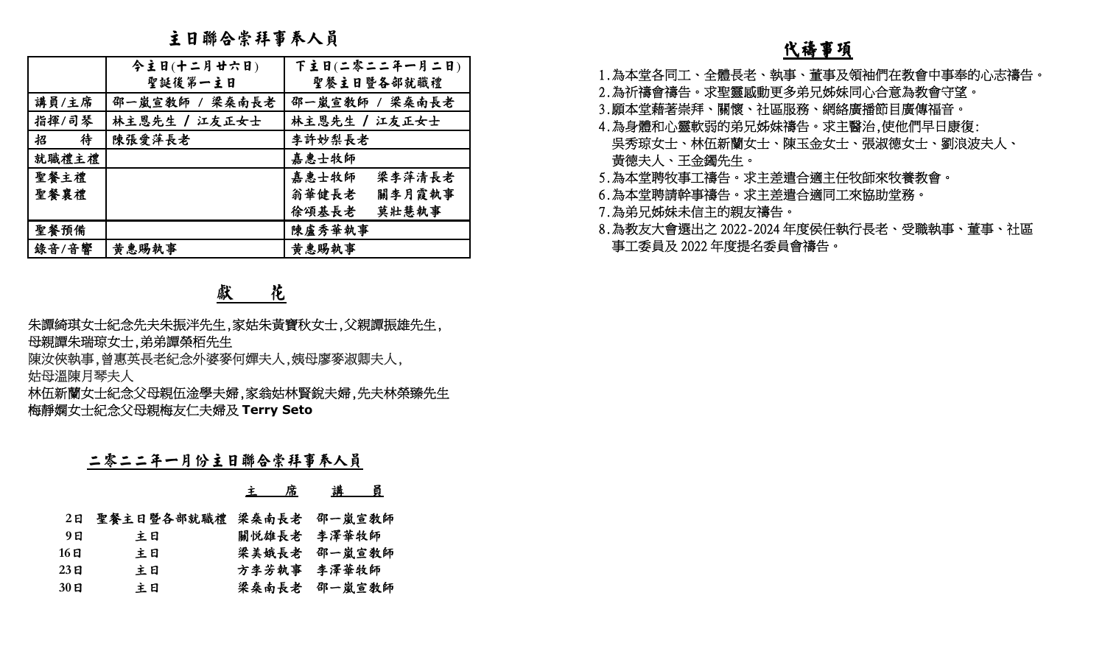主日聯合崇拜事奉人員

|                                        | エ <b>니 サツ ℃</b> ホ ワㅜ \ イ*ノヽ凡                                                                                                                                            |  |                                 | <u>代禱事項</u>                                                           |  |  |
|----------------------------------------|-------------------------------------------------------------------------------------------------------------------------------------------------------------------------|--|---------------------------------|-----------------------------------------------------------------------|--|--|
|                                        | 今主日(十二月廿六日)<br>聖誕後第一主日                                                                                                                                                  |  | 下主日(二零二二年一月二日)<br>聖餐主日暨各部就職禮    | 1.為本堂各同工、全體長老、執事、董事及領袖們在教會中事奉的心志禱告。<br>2.為祈禱會禱告。求聖靈感動更多弟兄姊妹同心合意為教會守望。 |  |  |
| 講員/主席                                  |                                                                                                                                                                         |  | 邵一嵐宣教師 / 梁桑南長老   邵一嵐宣教師 / 梁桑南長老 | 3.願本堂藉著崇拜、關懷、社區服務、網絡廣播節目廣傳福音。                                         |  |  |
| 指揮/司琴                                  | 林主恩先生 / 江友正女士                                                                                                                                                           |  | 林主恩先生 / 江友正女士                   | 4.為身體和心靈軟弱的弟兄姊妹禱告。求主醫治,使他們早日康復:                                       |  |  |
| 招<br>待                                 | 陳張愛萍長老                                                                                                                                                                  |  | 李許妙梨長老                          | 吳秀琼女士、林伍新蘭女士、陳玉金女士、張淑德女士、劉浪波夫人、                                       |  |  |
| 就職禮主禮                                  |                                                                                                                                                                         |  | 嘉惠士牧師                           | 黃德夫人、王金鐲先生。                                                           |  |  |
| 聖餐主禮                                   |                                                                                                                                                                         |  | 嘉惠士牧師<br>梁李萍清長老                 | 5.為本堂聘牧事工禱告。求主差遣合適主任牧師來牧養教會。                                          |  |  |
| 聖餐襄禮                                   |                                                                                                                                                                         |  | 關李月霞執事<br>翁華健長老                 | 6.為本堂聘請幹事禱告。求主差遣合適同工來協助堂務。                                            |  |  |
|                                        |                                                                                                                                                                         |  | 徐頌基長老 莫壯慧執事                     | 7.為弟兄姊妹未信主的親友禱告。                                                      |  |  |
| 聖餐預備                                   |                                                                                                                                                                         |  | 陳盧秀華執事                          | 8.為教友大會選出之 2022-2024 年度侯任執行長老、受職執事、董事、社區                              |  |  |
| 錄音/音響                                  | 黄惠賜執事                                                                                                                                                                   |  | 黄惠賜執事                           | 事工委員及 2022 年度提名委員會禱告。                                                 |  |  |
|                                        | 朱譚綺琪女士紀念先夫朱振泮先生,家姑朱黃寶秋女士,父親譚振雄先生,<br>母親譚朱瑞琼女士,弟弟譚榮栢先生<br>陳汝俠執事,曾惠英長老紀念外婆麥何嬋夫人,姨母廖麥淑卿夫人,<br>姑母溫陳月琴夫人<br>林伍新蘭女士紀念父母親伍淦學夫婦,家翁姑林賢銳夫婦,先夫林榮臻先生<br>梅靜嫻女士紀念父母親梅友仁夫婦及 Terry Seto |  |                                 |                                                                       |  |  |
| 二零二二年一月份主日聯合崇拜事奉人員<br>講員<br><u>主 席</u> |                                                                                                                                                                         |  |                                 |                                                                       |  |  |
|                                        |                                                                                                                                                                         |  |                                 |                                                                       |  |  |
|                                        | 2日 聖餐主日暨各部就職禮 梁桑南長老 邵一嵐宣教師                                                                                                                                              |  |                                 |                                                                       |  |  |
| 9E                                     | 主日                                                                                                                                                                      |  | 關悦雄長老 李澤華牧師                     |                                                                       |  |  |
| 16E<br>23 <sub>日</sub>                 | 主日<br>主日                                                                                                                                                                |  | 梁美娥長老 邵一嵐宣教師                    |                                                                       |  |  |
| $30$ 日                                 | 主日                                                                                                                                                                      |  | 方李芳執事 李澤華牧師<br>梁桑南長老 邵一嵐宣教師     |                                                                       |  |  |
|                                        |                                                                                                                                                                         |  |                                 |                                                                       |  |  |

# 獻 花

### 二零二二年一月份主日聯合崇拜事奉人員

|       |                         | 席<br>主 | 員<br>講       |
|-------|-------------------------|--------|--------------|
| 2E    | 聖餐主日暨各部就職禮 梁桑南長老 邵一嵐宣教師 |        |              |
| 9 E   | 主日                      |        | 關悦雄長老 李澤華牧師  |
| 16 EI | 主日                      | 梁美娥長老  | 邵一嵐宣教師       |
| 23日   | 主日                      |        | 方李芳執事 李澤華牧師  |
| 30日   | 主日                      |        | 梁桑南長老 邵一嵐宣教師 |

- 
- 
- 
- 
- 
- 
- 
-